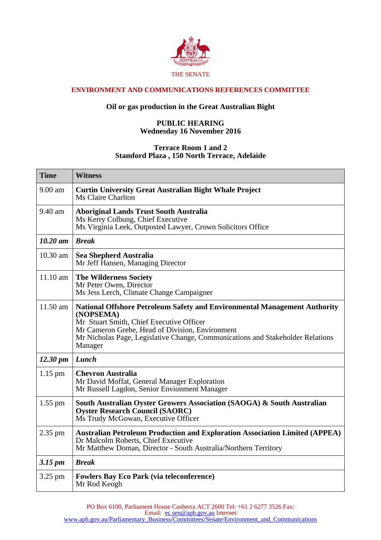

## **ENVIRONMENT AND COMMUNICATIONS REFERENCES COMMITTEE**

## **Oil or gas production in the Great Australian Bight**

## **PUBLIC HEARING Wednesday 16 November 2016**

## **Terrace Room 1 and 2 Stamford Plaza , 150 North Terrace, Adelaide**

| <b>Time</b>          | <b>Witness</b>                                                                                                                                                                                                                                                                     |
|----------------------|------------------------------------------------------------------------------------------------------------------------------------------------------------------------------------------------------------------------------------------------------------------------------------|
| 9.00 am              | <b>Curtin University Great Australian Bight Whale Project</b><br>Ms Claire Charlton                                                                                                                                                                                                |
| 9.40 am              | <b>Aboriginal Lands Trust South Australia</b><br>Ms Kerry Colbung, Chief Executive<br>Ms Virginia Leek, Outposted Lawyer, Crown Solicitors Office                                                                                                                                  |
| $10.20$ am           | <b>Break</b>                                                                                                                                                                                                                                                                       |
| 10.30 am             | <b>Sea Shepherd Australia</b><br>Mr Jeff Hansen, Managing Director                                                                                                                                                                                                                 |
| 11.10 am             | <b>The Wilderness Society</b><br>Mr Peter Owen, Director<br>Ms Jess Lerch, Climate Change Campaigner                                                                                                                                                                               |
| 11.50 am             | National Offshore Petroleum Safety and Environmental Management Authority<br>(NOPSEMA)<br>Mr Stuart Smith, Chief Executive Officer<br>Mr Cameron Grebe, Head of Division, Environment<br>Mr Nicholas Page, Legislative Change, Communications and Stakeholder Relations<br>Manager |
| $12.30 \; \text{pm}$ | Lunch                                                                                                                                                                                                                                                                              |
| $1.15$ pm            | <b>Chevron Australia</b><br>Mr David Moffat, General Manager Exploration<br>Mr Russell Lagdon, Senior Envionment Manager                                                                                                                                                           |
| $1.55$ pm            | South Australian Oyster Growers Association (SAOGA) & South Australian<br><b>Oyster Research Council (SAORC)</b><br>Ms Trudy McGowan, Executive Officer                                                                                                                            |
| 2.35 pm              | <b>Australian Petroleum Production and Exploration Association Limited (APPEA)</b><br>Dr Malcolm Roberts, Chief Executive<br>Mr Matthew Doman, Director - South Australia/Northern Territory                                                                                       |
| $3.15 \, \text{pm}$  | <b>Break</b>                                                                                                                                                                                                                                                                       |
| 3.25 pm              | <b>Fowlers Bay Eco Park (via teleconference)</b><br>Mr Rod Keogh                                                                                                                                                                                                                   |